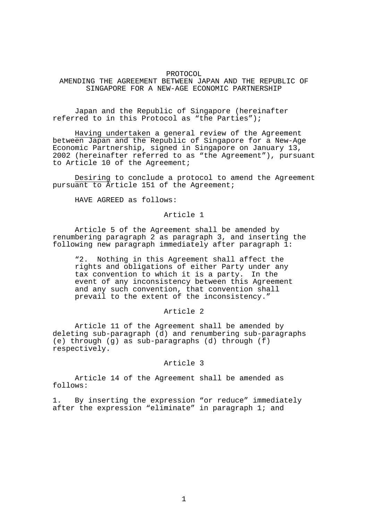#### PROTOCOL

AMENDING THE AGREEMENT BETWEEN JAPAN AND THE REPUBLIC OF SINGAPORE FOR A NEW-AGE ECONOMIC PARTNERSHIP

 Japan and the Republic of Singapore (hereinafter referred to in this Protocol as "the Parties");

Having undertaken a general review of the Agreement between Japan and the Republic of Singapore for a New-Age Economic Partnership, signed in Singapore on January 13, 2002 (hereinafter referred to as "the Agreement"), pursuant to Article 10 of the Agreement;

Desiring to conclude a protocol to amend the Agreement pursuant to Article 151 of the Agreement;

HAVE AGREED as follows:

# Article 1

 Article 5 of the Agreement shall be amended by renumbering paragraph 2 as paragraph 3, and inserting the following new paragraph immediately after paragraph 1:

"2. Nothing in this Agreement shall affect the rights and obligations of either Party under any tax convention to which it is a party. In the event of any inconsistency between this Agreement and any such convention, that convention shall prevail to the extent of the inconsistency."

### Article 2

 Article 11 of the Agreement shall be amended by deleting sub-paragraph (d) and renumbering sub-paragraphs (e) through (g) as sub-paragraphs (d) through (f) respectively.

### Article 3

 Article 14 of the Agreement shall be amended as follows:

1. By inserting the expression "or reduce" immediately after the expression "eliminate" in paragraph 1; and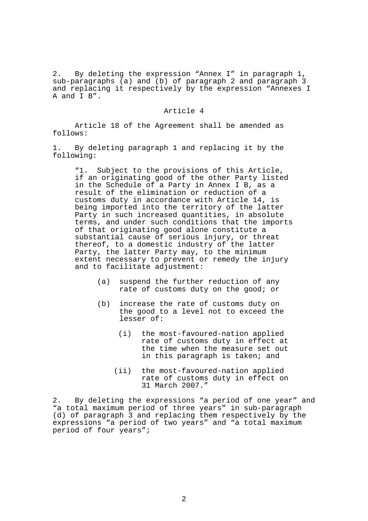2. By deleting the expression "Annex I" in paragraph 1, sub-paragraphs (a) and (b) of paragraph 2 and paragraph 3 and replacing it respectively by the expression "Annexes I A and I B".

## Article 4

 Article 18 of the Agreement shall be amended as follows:

1. By deleting paragraph 1 and replacing it by the following:

"1. Subject to the provisions of this Article, if an originating good of the other Party listed in the Schedule of a Party in Annex I B, as a result of the elimination or reduction of a customs duty in accordance with Article 14, is being imported into the territory of the latter Party in such increased quantities, in absolute terms, and under such conditions that the imports of that originating good alone constitute a substantial cause of serious injury, or threat thereof, to a domestic industry of the latter Party, the latter Party may, to the minimum extent necessary to prevent or remedy the injury and to facilitate adjustment:

- (a) suspend the further reduction of any rate of customs duty on the good; or
- (b) increase the rate of customs duty on the good to a level not to exceed the lesser of:
	- (i) the most-favoured-nation applied rate of customs duty in effect at the time when the measure set out in this paragraph is taken; and
	- (ii) the most-favoured-nation applied rate of customs duty in effect on 31 March 2007."

2. By deleting the expressions "a period of one year" and "a total maximum period of three years" in sub-paragraph (d) of paragraph 3 and replacing them respectively by the expressions "a period of two years" and "a total maximum period of four years";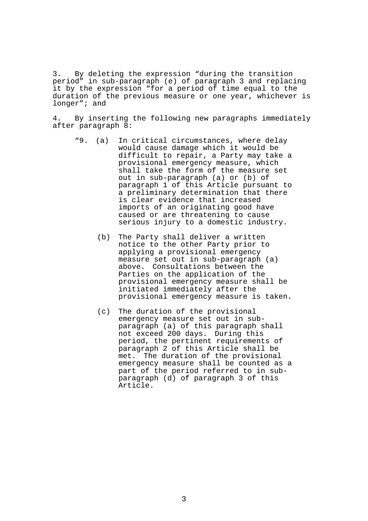3. By deleting the expression "during the transition period" in sub-paragraph (e) of paragraph 3 and replacing it by the expression "for a period of time equal to the duration of the previous measure or one year, whichever is longer"; and

4. By inserting the following new paragraphs immediately after paragraph 8:

- "9. (a) In critical circumstances, where delay would cause damage which it would be difficult to repair, a Party may take a provisional emergency measure, which shall take the form of the measure set out in sub-paragraph (a) or (b) of paragraph 1 of this Article pursuant to a preliminary determination that there is clear evidence that increased imports of an originating good have caused or are threatening to cause serious injury to a domestic industry.
	- (b) The Party shall deliver a written notice to the other Party prior to applying a provisional emergency measure set out in sub-paragraph (a) above. Consultations between the Parties on the application of the provisional emergency measure shall be initiated immediately after the provisional emergency measure is taken.
	- (c) The duration of the provisional emergency measure set out in subparagraph (a) of this paragraph shall not exceed 200 days. During this period, the pertinent requirements of paragraph 2 of this Article shall be met. The duration of the provisional emergency measure shall be counted as a part of the period referred to in subparagraph (d) of paragraph 3 of this Article.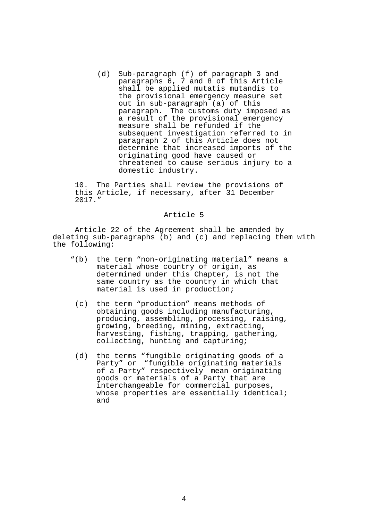(d) Sub-paragraph (f) of paragraph 3 and paragraphs 6, 7 and 8 of this Article shall be applied mutatis mutandis to the provisional emergency measure set out in sub-paragraph (a) of this paragraph. The customs duty imposed as a result of the provisional emergency measure shall be refunded if the subsequent investigation referred to in paragraph 2 of this Article does not determine that increased imports of the originating good have caused or threatened to cause serious injury to a domestic industry.

10. The Parties shall review the provisions of this Article, if necessary, after 31 December 2017."

### Article 5

 Article 22 of the Agreement shall be amended by deleting sub-paragraphs (b) and (c) and replacing them with the following:

- "(b) the term "non-originating material" means a material whose country of origin, as determined under this Chapter, is not the same country as the country in which that material is used in production;
	- (c) the term "production" means methods of obtaining goods including manufacturing, producing, assembling, processing, raising, growing, breeding, mining, extracting, harvesting, fishing, trapping, gathering, collecting, hunting and capturing;
	- (d) the terms "fungible originating goods of a Party" or "fungible originating materials of a Party" respectively mean originating goods or materials of a Party that are interchangeable for commercial purposes, whose properties are essentially identical; and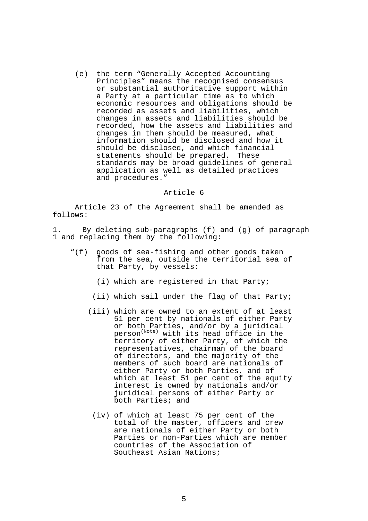(e) the term "Generally Accepted Accounting Principles" means the recognised consensus or substantial authoritative support within a Party at a particular time as to which economic resources and obligations should be recorded as assets and liabilities, which changes in assets and liabilities should be recorded, how the assets and liabilities and changes in them should be measured, what information should be disclosed and how it should be disclosed, and which financial statements should be prepared. These standards may be broad guidelines of general application as well as detailed practices and procedures."

## Article 6

 Article 23 of the Agreement shall be amended as follows:

1. By deleting sub-paragraphs (f) and (g) of paragraph 1 and replacing them by the following:

- "(f) goods of sea-fishing and other goods taken from the sea, outside the territorial sea of that Party, by vessels:
	- (i) which are registered in that Party;
	- (ii) which sail under the flag of that Party;
	- (iii) which are owned to an extent of at least 51 per cent by nationals of either Party or both Parties, and/or by a juridical person(Note) with its head office in the territory of either Party, of which the representatives, chairman of the board of directors, and the majority of the members of such board are nationals of either Party or both Parties, and of which at least 51 per cent of the equity interest is owned by nationals and/or juridical persons of either Party or both Parties; and
		- (iv) of which at least 75 per cent of the total of the master, officers and crew are nationals of either Party or both Parties or non-Parties which are member countries of the Association of Southeast Asian Nations;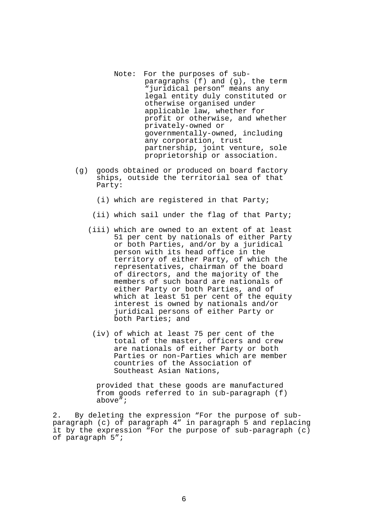- Note: For the purposes of subparagraphs (f) and (g), the term "juridical person" means any legal entity duly constituted or otherwise organised under applicable law, whether for profit or otherwise, and whether privately-owned or governmentally-owned, including any corporation, trust partnership, joint venture, sole proprietorship or association.
- (g) goods obtained or produced on board factory ships, outside the territorial sea of that Party:
	- (i) which are registered in that Party;
	- (ii) which sail under the flag of that Party;
	- (iii) which are owned to an extent of at least 51 per cent by nationals of either Party or both Parties, and/or by a juridical person with its head office in the territory of either Party, of which the representatives, chairman of the board of directors, and the majority of the members of such board are nationals of either Party or both Parties, and of which at least 51 per cent of the equity interest is owned by nationals and/or juridical persons of either Party or both Parties; and
		- (iv) of which at least 75 per cent of the total of the master, officers and crew are nationals of either Party or both Parties or non-Parties which are member countries of the Association of Southeast Asian Nations,

provided that these goods are manufactured from goods referred to in sub-paragraph (f) above";

2. By deleting the expression "For the purpose of subparagraph (c) of paragraph 4" in paragraph 5 and replacing it by the expression "For the purpose of sub-paragraph (c) of paragraph 5";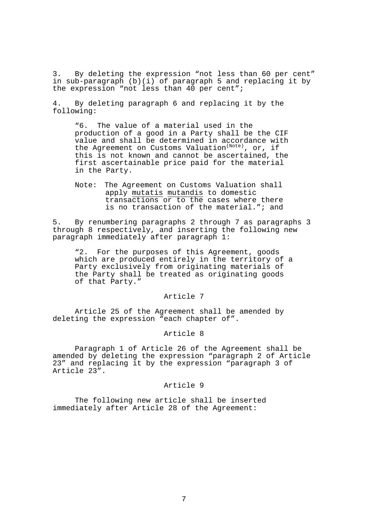3. By deleting the expression "not less than 60 per cent" in sub-paragraph (b)(i) of paragraph 5 and replacing it by the expression "not less than 40 per cent";

4. By deleting paragraph 6 and replacing it by the following:

"6. The value of a material used in the production of a good in a Party shall be the CIF value and shall be determined in accordance with value and shall be decermined in decordance at this is not known and cannot be ascertained, the first ascertainable price paid for the material in the Party.

Note: The Agreement on Customs Valuation shall apply mutatis mutandis to domestic transactions or to the cases where there is no transaction of the material."; and

5. By renumbering paragraphs 2 through 7 as paragraphs 3 through 8 respectively, and inserting the following new paragraph immediately after paragraph 1:

"2. For the purposes of this Agreement, goods which are produced entirely in the territory of a Party exclusively from originating materials of the Party shall be treated as originating goods of that Party."

# Article 7

 Article 25 of the Agreement shall be amended by deleting the expression "each chapter of".

#### Article 8

 Paragraph 1 of Article 26 of the Agreement shall be amended by deleting the expression "paragraph 2 of Article 23" and replacing it by the expression "paragraph 3 of Article 23".

### Article 9

 The following new article shall be inserted immediately after Article 28 of the Agreement: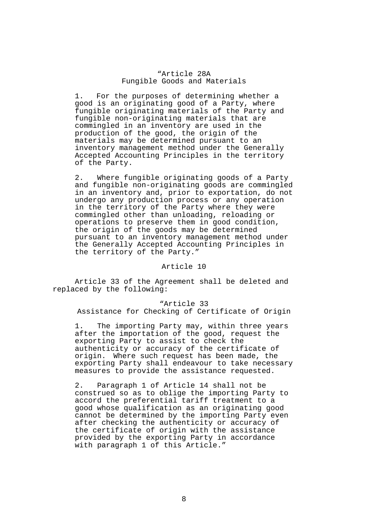## "Article 28A Fungible Goods and Materials

1. For the purposes of determining whether a good is an originating good of a Party, where fungible originating materials of the Party and fungible non-originating materials that are commingled in an inventory are used in the production of the good, the origin of the materials may be determined pursuant to an inventory management method under the Generally Accepted Accounting Principles in the territory of the Party.

2. Where fungible originating goods of a Party and fungible non-originating goods are commingled in an inventory and, prior to exportation, do not undergo any production process or any operation in the territory of the Party where they were commingled other than unloading, reloading or operations to preserve them in good condition, the origin of the goods may be determined pursuant to an inventory management method under the Generally Accepted Accounting Principles in the territory of the Party."

# Article 10

 Article 33 of the Agreement shall be deleted and replaced by the following:

#### "Article 33

Assistance for Checking of Certificate of Origin

1. The importing Party may, within three years after the importation of the good, request the exporting Party to assist to check the authenticity or accuracy of the certificate of origin. Where such request has been made, the exporting Party shall endeavour to take necessary measures to provide the assistance requested.

2. Paragraph 1 of Article 14 shall not be construed so as to oblige the importing Party to accord the preferential tariff treatment to a good whose qualification as an originating good cannot be determined by the importing Party even after checking the authenticity or accuracy of the certificate of origin with the assistance provided by the exporting Party in accordance with paragraph 1 of this Article."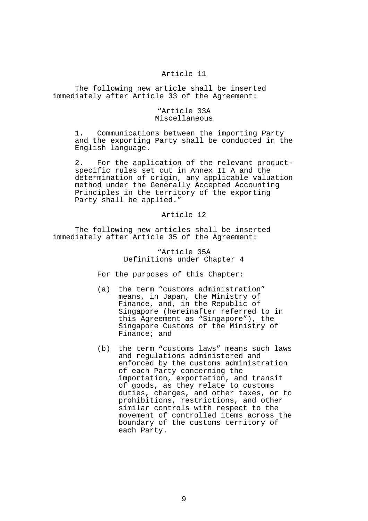# Article 11

 The following new article shall be inserted immediately after Article 33 of the Agreement:

# "Article 33A Miscellaneous

1. Communications between the importing Party and the exporting Party shall be conducted in the English language.

2. For the application of the relevant productspecific rules set out in Annex II A and the determination of origin, any applicable valuation method under the Generally Accepted Accounting Principles in the territory of the exporting Party shall be applied."

#### Article 12

 The following new articles shall be inserted immediately after Article 35 of the Agreement:

# "Article 35A Definitions under Chapter 4

For the purposes of this Chapter:

- (a) the term "customs administration" means, in Japan, the Ministry of Finance, and, in the Republic of Singapore (hereinafter referred to in this Agreement as "Singapore"), the Singapore Customs of the Ministry of Finance; and
- (b) the term "customs laws" means such laws and regulations administered and enforced by the customs administration of each Party concerning the importation, exportation, and transit of goods, as they relate to customs duties, charges, and other taxes, or to prohibitions, restrictions, and other similar controls with respect to the movement of controlled items across the boundary of the customs territory of each Party.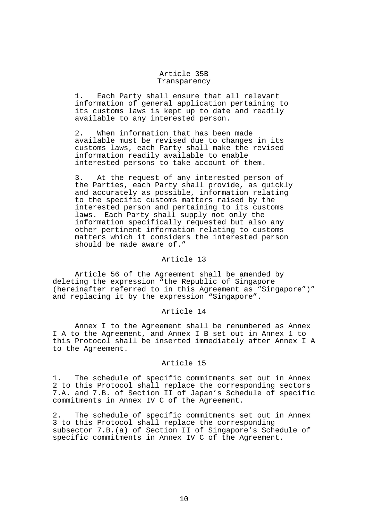## Article 35B Transparency

1. Each Party shall ensure that all relevant information of general application pertaining to its customs laws is kept up to date and readily available to any interested person.

2. When information that has been made available must be revised due to changes in its customs laws, each Party shall make the revised information readily available to enable interested persons to take account of them.

3. At the request of any interested person of the Parties, each Party shall provide, as quickly and accurately as possible, information relating to the specific customs matters raised by the interested person and pertaining to its customs laws. Each Party shall supply not only the information specifically requested but also any other pertinent information relating to customs matters which it considers the interested person should be made aware of."

### Article 13

 Article 56 of the Agreement shall be amended by deleting the expression "the Republic of Singapore (hereinafter referred to in this Agreement as "Singapore")" and replacing it by the expression "Singapore".

## Article 14

 Annex I to the Agreement shall be renumbered as Annex I A to the Agreement, and Annex I B set out in Annex 1 to this Protocol shall be inserted immediately after Annex I A to the Agreement.

## Article 15

1. The schedule of specific commitments set out in Annex 2 to this Protocol shall replace the corresponding sectors 7.A. and 7.B. of Section II of Japan's Schedule of specific commitments in Annex IV C of the Agreement.

2. The schedule of specific commitments set out in Annex 3 to this Protocol shall replace the corresponding subsector 7.B.(a) of Section II of Singapore's Schedule of specific commitments in Annex IV C of the Agreement.